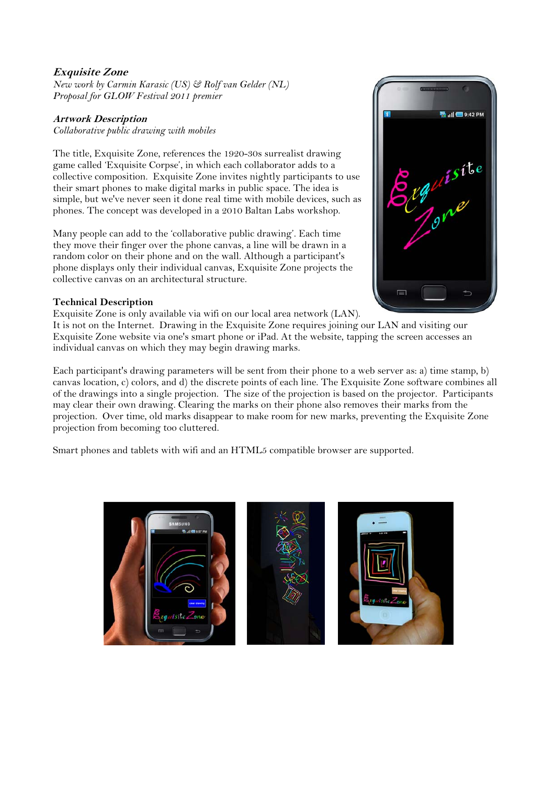**Exquisite Zone**  *New work by Carmin Karasic (US) & Rolf van Gelder (NL) Proposal for GLOW Festival 2011 premier* 

## **Artwork Description**

*Collaborative public drawing with mobiles* 

The title, Exquisite Zone, references the 1920-30s surrealist drawing game called 'Exquisite Corpse', in which each collaborator adds to a collective composition. Exquisite Zone invites nightly participants to use their smart phones to make digital marks in public space. The idea is simple, but we've never seen it done real time with mobile devices, such as phones. The concept was developed in a 2010 Baltan Labs workshop.

Many people can add to the 'collaborative public drawing'. Each time they move their finger over the phone canvas, a line will be drawn in a random color on their phone and on the wall. Although a participant's phone displays only their individual canvas, Exquisite Zone projects the collective canvas on an architectural structure.

## **Technical Description**

Exquisite Zone is only available via wifi on our local area network (LAN).

It is not on the Internet. Drawing in the Exquisite Zone requires joining our LAN and visiting our Exquisite Zone website via one's smart phone or iPad. At the website, tapping the screen accesses an individual canvas on which they may begin drawing marks.

Each participant's drawing parameters will be sent from their phone to a web server as: a) time stamp, b) canvas location, c) colors, and d) the discrete points of each line. The Exquisite Zone software combines all of the drawings into a single projection. The size of the projection is based on the projector. Participants may clear their own drawing. Clearing the marks on their phone also removes their marks from the projection. Over time, old marks disappear to make room for new marks, preventing the Exquisite Zone projection from becoming too cluttered.

Smart phones and tablets with wifi and an HTML5 compatible browser are supported.